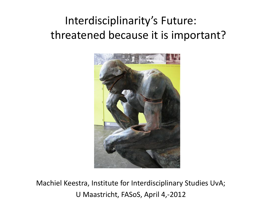#### Interdisciplinarity's Future: threatened because it is important?



Machiel Keestra, Institute for Interdisciplinary Studies UvA; U Maastricht, FASoS, April 4,-2012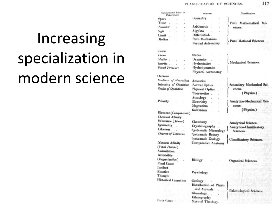117

## Increasing specialization in modern science

| Fundamental Isleas or<br>Conceptions | Sciettees.                 | Classification:                 |
|--------------------------------------|----------------------------|---------------------------------|
| Space                                | Geometry                   |                                 |
| Time                                 |                            | Pure Mathematical Sci-          |
| Number                               | Arithmetic                 | ences.                          |
| Sugn<br>k.                           | Algebra                    |                                 |
| Limit<br>à.                          | Differentials.             |                                 |
| Motion.<br>í.                        | Pure Mechanism.            | <b>Pure Motional Sciences</b>   |
|                                      | Formal Astronomy           |                                 |
| Cause                                |                            |                                 |
| Force                                | Statics.                   |                                 |
| Matter.                              | Dynamics                   |                                 |
| Inertia.                             | Hydrostatics               | Mechanical Sciences.            |
| <b>Fluid Pressure</b>                | Hydrodynamics              |                                 |
|                                      | Physical Astronomy         |                                 |
| Outness                              |                            |                                 |
| Medium of Sensation                  | Acoustics                  |                                 |
| Intensity of Qualities               | Formal Optics              | Secondary Mechanical Sci-       |
| Scales of Qualities .                | Physical Optics            | ences.                          |
|                                      | Thermotics.                | (Physics.)                      |
|                                      | Atmology                   |                                 |
| Polarity                             | Electricity                | Analytico-Mechanical Sci-       |
|                                      | Magnetism                  | ences.                          |
|                                      | Galvanism                  | (Physics.)                      |
| Element (Camposition)                |                            |                                 |
| <b>Chemical Affinity</b>             |                            |                                 |
| Substance (Atms)                     | Chemistry                  | Analytical Science.             |
| Symmetry                             | Crystallography            | Analytico-Classificatory        |
| Likeness                             | Systematic Mineralogy      | Sciences.                       |
| Degrees of Lilencos                  | Systematic Botany          |                                 |
|                                      | Systematic Zoology         | <b>Classificatory Sciences.</b> |
| Natural Affinity                     | <b>Comparative Anatomy</b> |                                 |
| (Vital Powers)                       |                            |                                 |
| Assimilation                         |                            |                                 |
| Irritability                         |                            |                                 |
| <i>(Organization)</i>                | Biology                    | Organical Sciences.             |
| <b>Final Cause</b>                   |                            |                                 |
| Instinct                             |                            |                                 |
| Emotion                              | l'sychology                |                                 |
| Thought                              |                            |                                 |
| <b>Historical Causation</b>          | Geology                    |                                 |
|                                      | Distribution of Plants     |                                 |
|                                      | and Animals                |                                 |
|                                      | Glossology                 | Palatiological Sciences.        |
|                                      | Ethnography                | $\mathbf{Z}$                    |
| First Cause                          | Natural Theology.          |                                 |
|                                      |                            |                                 |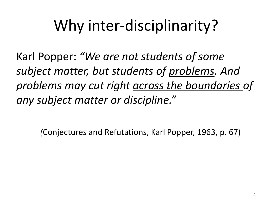## Why inter-disciplinarity?

Karl Popper: *"We are not students of some subject matter, but students of problems. And problems may cut right across the boundaries of any subject matter or discipline."* 

*(*Conjectures and Refutations, Karl Popper, 1963, p. 67)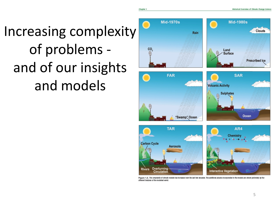### Increasing complexity of problems and of our insights and models



Figure 1.2. The complexity of climate models has increased over the last few decades. The additional physics incorporated in the models are shown pictorially by the different features of the modelled world.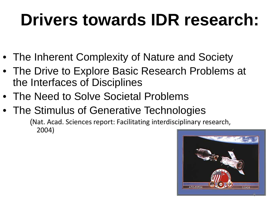# **Drivers towards IDR research:**

- The Inherent Complexity of Nature and Society
- The Drive to Explore Basic Research Problems at the Interfaces of Disciplines
- The Need to Solve Societal Problems
- The Stimulus of Generative Technologies

(Nat. Acad. Sciences report: Facilitating interdisciplinary research, 2004)



6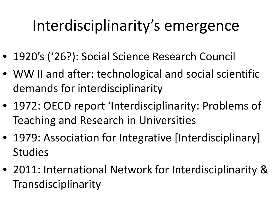## Interdisciplinarity's emergence

- 1920's ('26?): Social Science Research Council
- WW II and after: technological and social scientific demands for interdisciplinarity
- 1972: OECD report 'Interdisciplinarity: Problems of Teaching and Research in Universities
- 1979: Association for Integrative [Interdisciplinary] Studies
- 2011: International Network for Interdisciplinarity & Transdisciplinarity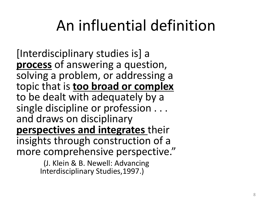### An influential definition

[Interdisciplinary studies is] a **process** of answering a question, solving a problem, or addressing a topic that is **too broad or complex**  to be dealt with adequately by a single discipline or profession . . .<br>and draws on disciplinary **perspectives and integrates** their insights through construction of a more comprehensive perspective."

(J. Klein & B. Newell: Advancing Interdisciplinary Studies,1997.)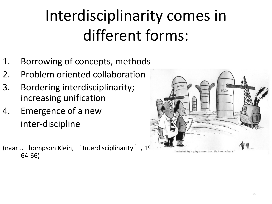## Interdisciplinarity comes in different forms:

- 1. Borrowing of concepts, methods
- 2. Problem oriented collaboration
- 3. Bordering interdisciplinarity; increasing unification
- 4. Emergence of a new inter-discipline

(naar J. Thompson Klein, 'Interdisciplinarity', 19 64-66)

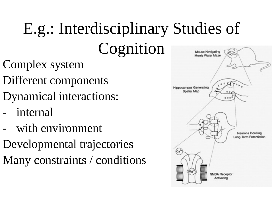#### E.g.: Interdisciplinary Studies of Cognition Mouse Navigating Morris Water Maze

- Complex system
- Different components
- Dynamical interactions:
- internal
- with environment
- Developmental trajectories
- Many constraints / conditions

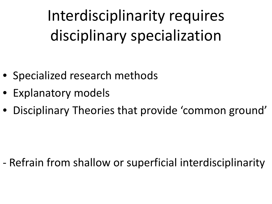Interdisciplinarity requires disciplinary specialization

- Specialized research methods
- Explanatory models
- Disciplinary Theories that provide 'common ground'

- Refrain from shallow or superficial interdisciplinarity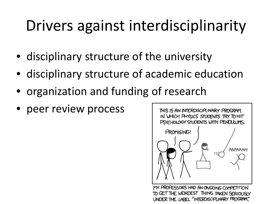## Drivers against interdisciplinarity

- disciplinary structure of the university
- disciplinary structure of academic education
- organization and funding of research
- peer review process



MY PROFESSORS HAD AN ONGOING COMPETITION TO GET THE WEIRDEST THING TAKEN SERIOUSLY UNDER THE LABEL "INTERDISCIPLINARY PROGRAM"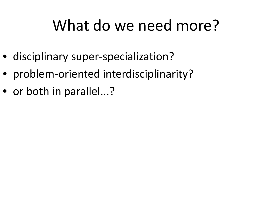### What do we need more?

- disciplinary super-specialization?
- problem-oriented interdisciplinarity?
- or both in parallel...?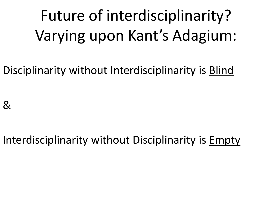## Future of interdisciplinarity? Varying upon Kant's Adagium:

Disciplinarity without Interdisciplinarity is Blind

&

Interdisciplinarity without Disciplinarity is Empty